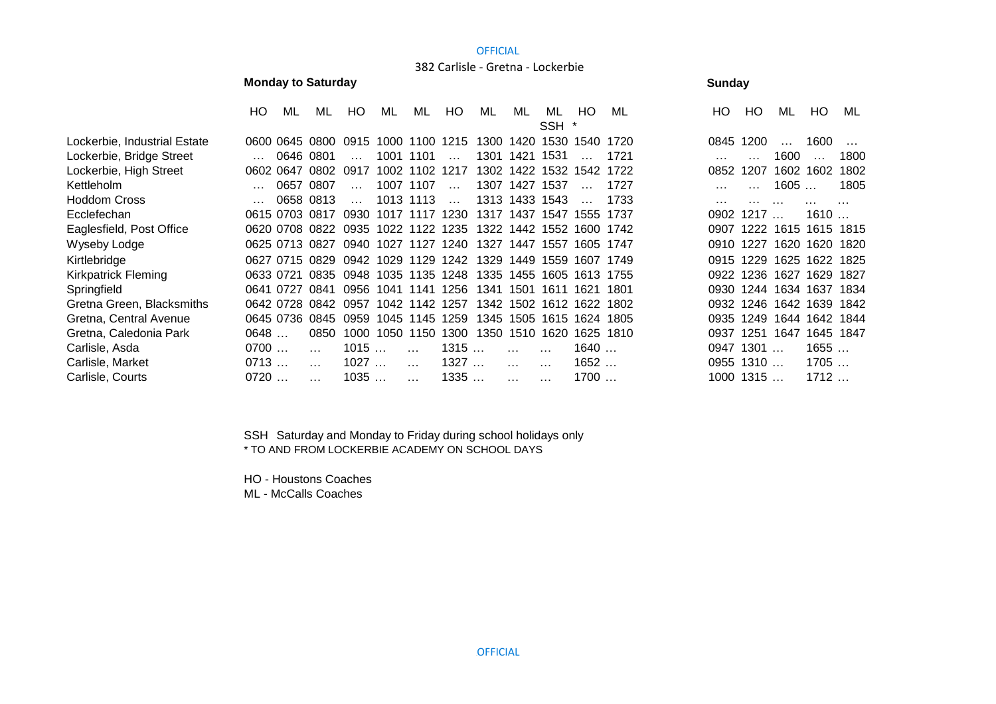### **OFFICIAL**

# 382 Carlisle - Gretna - Lockerbie

# **Monday to Saturday Sunday Sunday Sunday Sunday**

|                              | HO.  | ML        | ML                                 | HO                  | ML                  | ML        | HO                   | ML   | ML             | ML                       | HO.       | ML   | HO.  | HO          | ML                  | HO.       | ML   |
|------------------------------|------|-----------|------------------------------------|---------------------|---------------------|-----------|----------------------|------|----------------|--------------------------|-----------|------|------|-------------|---------------------|-----------|------|
|                              |      |           |                                    |                     |                     |           |                      |      |                | SSH                      |           |      |      |             |                     |           |      |
| Lockerbie, Industrial Estate |      |           | 0600 0645 0800 0915 1000 1100 1215 |                     |                     |           |                      | 1300 |                | 1420 1530 1540           |           | 1720 |      | 0845 1200   | $\cdots$            | 1600      |      |
| Lockerbie, Bridge Street     |      |           | 0646 0801                          |                     | 1001 1101           |           |                      |      | 1301 1421 1531 |                          |           | 1721 |      |             | 1600                |           | 1800 |
| Lockerbie, High Street       |      |           | 0602 0647 0802                     | 0917                |                     |           | 1002 1102 1217       |      |                | 1302 1422 1532 1542      |           | 1722 | 0852 | 1207        | 1602                | 1602      | 1802 |
| Kettleholm                   |      | 0657      | 0807                               |                     |                     | 1007 1107 | $\ddot{\phantom{a}}$ |      | 1307 1427      | 1537                     |           | 1727 |      |             | 1605                |           | 1805 |
| Hoddom Cross                 |      |           | 0658 0813                          | $\cdots$            |                     | 1013 1113 | $\ddotsc$            |      | 1313 1433 1543 |                          |           | 1733 | .    |             |                     |           |      |
| Ecclefechan                  |      |           | 0615 0703 0817                     |                     | 0930 1017 1117 1230 |           |                      | 1317 | 1437           | 1547                     | 1555      | 1737 | 0902 | 1217        |                     | 1610      |      |
| Eaglesfield, Post Office     |      |           | 0620 0708 0822                     |                     | 0935 1022 1122 1235 |           |                      | 1322 | 1442           |                          | 1552 1600 | 1742 | 0907 |             | 1222 1615 1615 1815 |           |      |
| Wyseby Lodge                 |      |           | 0625 0713 0827                     |                     | 0940 1027           | 1127      | 1240                 | 1327 | 1447           | 1557                     | 1605      | 1747 | 0910 | 1227        | 1620                | 1620 1820 |      |
| Kirtlebridge                 |      |           | 0627 0715 0829                     |                     | 0942 1029 1129      |           | 1242                 | 1329 | 1449           |                          | 1559 1607 | 1749 | 0915 |             | 1229 1625           | 1622 1825 |      |
| Kirkpatrick Fleming          |      | 0633 0721 | 0835                               |                     |                     |           | 0948 1035 1135 1248  | 1335 | 1455           |                          | 1605 1613 | 1755 | 0922 | 1236        | 1627                | 1629 1827 |      |
| Springfield                  |      | 0641 0727 | 0841                               |                     | 0956 1041 1141      |           | 1256                 | 1341 | 1501           | 1611 1621                |           | 1801 | 0930 |             | 1244 1634 1637 1834 |           |      |
| Gretna Green, Blacksmiths    |      |           | 0642 0728 0842                     | 0957 1042 1142 1257 |                     |           |                      | 1342 |                | 1502 1612 1622           |           | 1802 | 0932 |             | 1246 1642 1639 1842 |           |      |
| Gretna, Central Avenue       |      |           | 0645 0736 0845 0959 1045 1145 1259 |                     |                     |           |                      |      |                | 1345 1505 1615 1624 1805 |           |      | 0935 | 1249        | 1644 1642 1844      |           |      |
| Gretna, Caledonia Park       | 0648 |           | 0850                               |                     | 1000 1050 1150      |           | 1300                 | 1350 |                | 1510 1620 1625 1810      |           |      | 0937 | 1251        | 1647                | 1645 1847 |      |
| Carlisle, Asda               | 0700 |           |                                    | 1015                |                     |           | 1315                 |      |                |                          | 1640      |      | 0947 | 1301        |                     | 1655      |      |
| Carlisle, Market             | 0713 |           | $\cdots$                           | 1027                |                     | $\cdots$  | 1327                 |      |                |                          | 1652      |      |      | $0955$ 1310 |                     | 1705      |      |
| Carlisle, Courts             | 0720 |           |                                    | 1035                |                     |           | 1335                 |      |                |                          | 1700      |      |      | 1000 1315   |                     | 1712      |      |
|                              |      |           |                                    |                     |                     |           |                      |      |                |                          |           |      |      |             |                     |           |      |

SSH Saturday and Monday to Friday during school holidays only \* TO AND FROM LOCKERBIE ACADEMY ON SCHOOL DAYS

HO - Houstons Coaches

ML - McCalls Coaches